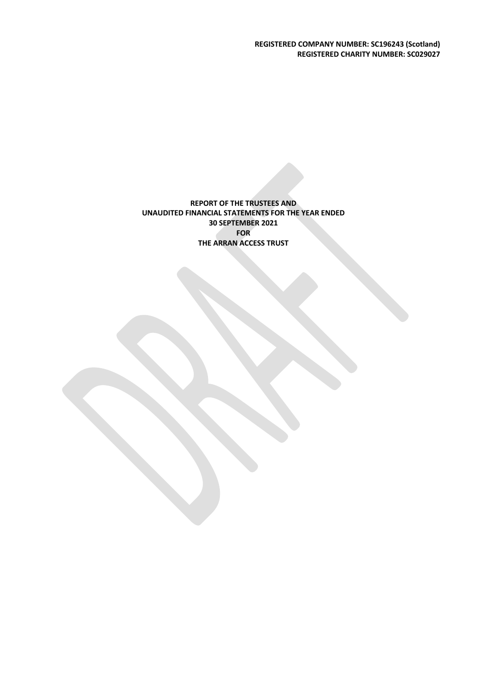**REGISTERED COMPANY NUMBER: SC196243 (Scotland) REGISTERED CHARITY NUMBER: SC029027**

**REPORT OF THE TRUSTEES AND UNAUDITED FINANCIAL STATEMENTS FOR THE YEAR ENDED 30 SEPTEMBER 2021 FOR THE ARRAN ACCESS TRUST**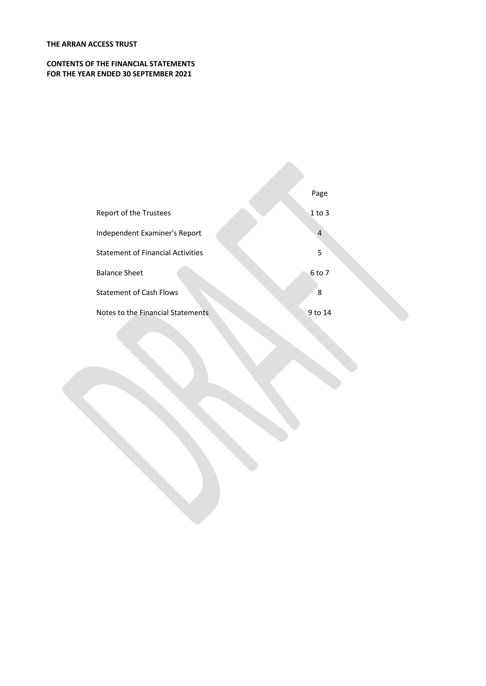### **CONTENTS OF THE FINANCIAL STATEMENTS FOR THE YEAR ENDED 30 SEPTEMBER 2021**

|                                          | Page           |
|------------------------------------------|----------------|
| Report of the Trustees                   | $1$ to 3       |
| Independent Examiner's Report            | $\overline{4}$ |
| <b>Statement of Financial Activities</b> | 5              |
| <b>Balance Sheet</b>                     | 6 to 7         |
| <b>Statement of Cash Flows</b>           | 8              |
| Notes to the Financial Statements        | 9 to 14        |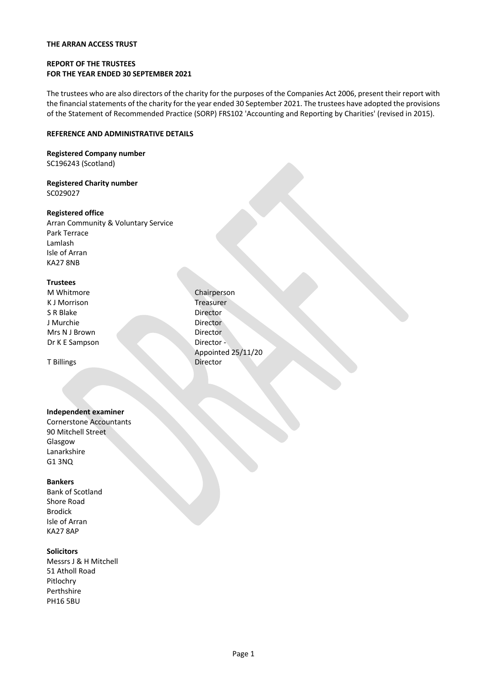### **REPORT OF THE TRUSTEES FOR THE YEAR ENDED 30 SEPTEMBER 2021**

The trustees who are also directors of the charity for the purposes of the Companies Act 2006, present their report with the financial statements of the charity for the year ended 30 September 2021. The trustees have adopted the provisions of the Statement of Recommended Practice (SORP) FRS102 'Accounting and Reporting by Charities' (revised in 2015).

### **REFERENCE AND ADMINISTRATIVE DETAILS**

### **Registered Company number** SC196243 (Scotland)

#### **Registered Charity number** SC029027

### **Registered office**

Arran Community & Voluntary Service Park Terrace Lamlash Isle of Arran KA27 8NB

### **Trustees**

M Whitmore **Chairperson** K J Morrison **Treasurer** S R Blake Director J Murchie Mrs N J Brown Dr K E Sampson

T Billings

### **Independent examiner**

Cornerstone Accountants 90 Mitchell Street Glasgow Lanarkshire G1 3NQ

### **Bankers**

Bank of Scotland Shore Road Brodick Isle of Arran KA27 8AP

### **Solicitors**

Messrs J & H Mitchell 51 Atholl Road Pitlochry Perthshire PH16 5BU

**Director** Director Director - Appointed 25/11/20 Director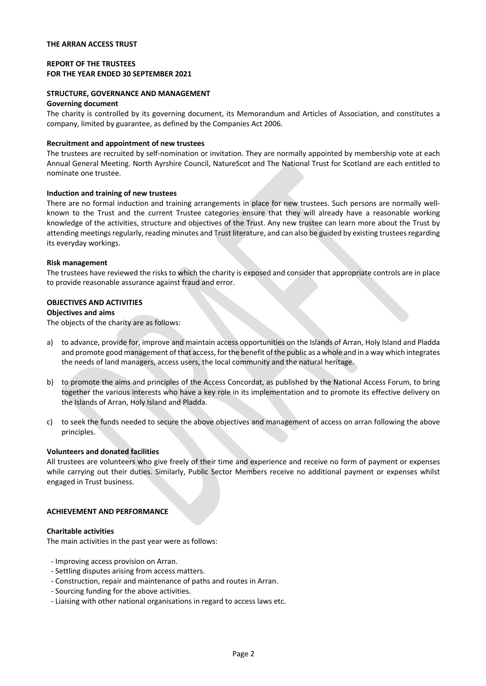### **REPORT OF THE TRUSTEES FOR THE YEAR ENDED 30 SEPTEMBER 2021**

## **STRUCTURE, GOVERNANCE AND MANAGEMENT**

### **Governing document**

The charity is controlled by its governing document, its Memorandum and Articles of Association, and constitutes a company, limited by guarantee, as defined by the Companies Act 2006.

### **Recruitment and appointment of new trustees**

The trustees are recruited by self-nomination or invitation. They are normally appointed by membership vote at each Annual General Meeting. North Ayrshire Council, NatureScot and The National Trust for Scotland are each entitled to nominate one trustee.

### **Induction and training of new trustees**

There are no formal induction and training arrangements in place for new trustees. Such persons are normally wellknown to the Trust and the current Trustee categories ensure that they will already have a reasonable working knowledge of the activities, structure and objectives of the Trust. Any new trustee can learn more about the Trust by attending meetings regularly, reading minutes and Trust literature, and can also be guided by existing trustees regarding its everyday workings.

### **Risk management**

The trustees have reviewed the risks to which the charity is exposed and consider that appropriate controls are in place to provide reasonable assurance against fraud and error.

### **OBJECTIVES AND ACTIVITIES**

### **Objectives and aims**

The objects of the charity are as follows:

- a) to advance, provide for, improve and maintain access opportunities on the Islands of Arran, Holy Island and Pladda and promote good management of that access, for the benefit of the public as a whole and in a way which integrates the needs of land managers, access users, the local community and the natural heritage.
- b) to promote the aims and principles of the Access Concordat, as published by the National Access Forum, to bring together the various interests who have a key role in its implementation and to promote its effective delivery on the Islands of Arran, Holy Island and Pladda.
- c) to seek the funds needed to secure the above objectives and management of access on arran following the above principles.

### **Volunteers and donated facilities**

All trustees are volunteers who give freely of their time and experience and receive no form of payment or expenses while carrying out their duties. Similarly, Public Sector Members receive no additional payment or expenses whilst engaged in Trust business.

### **ACHIEVEMENT AND PERFORMANCE**

### **Charitable activities**

The main activities in the past year were as follows:

- Improving access provision on Arran.
- Settling disputes arising from access matters.
- Construction, repair and maintenance of paths and routes in Arran.
- Sourcing funding for the above activities.
- Liaising with other national organisations in regard to access laws etc.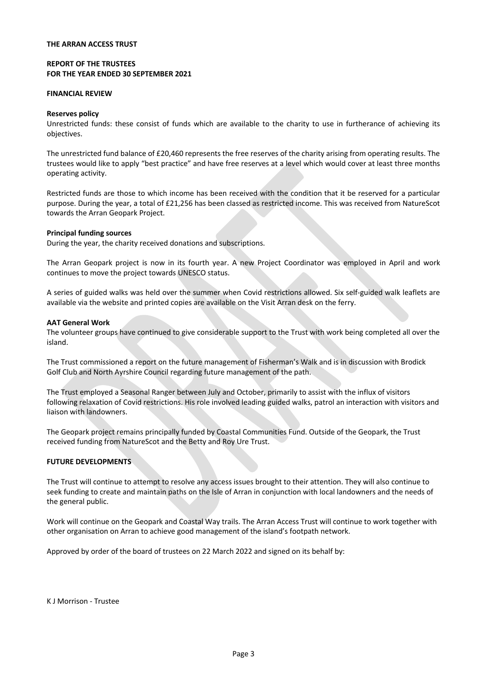### **REPORT OF THE TRUSTEES FOR THE YEAR ENDED 30 SEPTEMBER 2021**

#### **FINANCIAL REVIEW**

### **Reserves policy**

Unrestricted funds: these consist of funds which are available to the charity to use in furtherance of achieving its objectives.

The unrestricted fund balance of £20,460 represents the free reserves of the charity arising from operating results. The trustees would like to apply "best practice" and have free reserves at a level which would cover at least three months operating activity.

Restricted funds are those to which income has been received with the condition that it be reserved for a particular purpose. During the year, a total of £21,256 has been classed as restricted income. This was received from NatureScot towards the Arran Geopark Project.

#### **Principal funding sources**

During the year, the charity received donations and subscriptions.

The Arran Geopark project is now in its fourth year. A new Project Coordinator was employed in April and work continues to move the project towards UNESCO status.

A series of guided walks was held over the summer when Covid restrictions allowed. Six self-guided walk leaflets are available via the website and printed copies are available on the Visit Arran desk on the ferry.

#### **AAT General Work**

The volunteer groups have continued to give considerable support to the Trust with work being completed all over the island.

The Trust commissioned a report on the future management of Fisherman's Walk and is in discussion with Brodick Golf Club and North Ayrshire Council regarding future management of the path.

The Trust employed a Seasonal Ranger between July and October, primarily to assist with the influx of visitors following relaxation of Covid restrictions. His role involved leading guided walks, patrol an interaction with visitors and liaison with landowners.

The Geopark project remains principally funded by Coastal Communities Fund. Outside of the Geopark, the Trust received funding from NatureScot and the Betty and Roy Ure Trust.

### **FUTURE DEVELOPMENTS**

The Trust will continue to attempt to resolve any access issues brought to their attention. They will also continue to seek funding to create and maintain paths on the Isle of Arran in conjunction with local landowners and the needs of the general public.

Work will continue on the Geopark and Coastal Way trails. The Arran Access Trust will continue to work together with other organisation on Arran to achieve good management of the island's footpath network.

Approved by order of the board of trustees on 22 March 2022 and signed on its behalf by:

K J Morrison - Trustee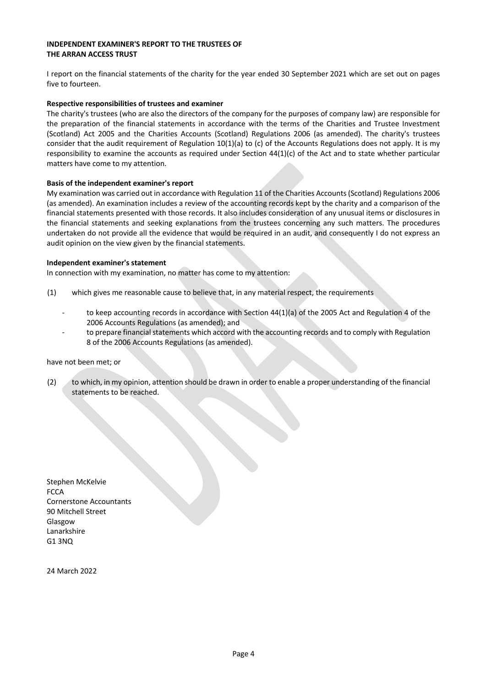### **INDEPENDENT EXAMINER'S REPORT TO THE TRUSTEES OF THE ARRAN ACCESS TRUST**

I report on the financial statements of the charity for the year ended 30 September 2021 which are set out on pages five to fourteen.

### **Respective responsibilities of trustees and examiner**

The charity's trustees (who are also the directors of the company for the purposes of company law) are responsible for the preparation of the financial statements in accordance with the terms of the Charities and Trustee Investment (Scotland) Act 2005 and the Charities Accounts (Scotland) Regulations 2006 (as amended). The charity's trustees consider that the audit requirement of Regulation  $10(1)(a)$  to (c) of the Accounts Regulations does not apply. It is my responsibility to examine the accounts as required under Section 44(1)(c) of the Act and to state whether particular matters have come to my attention.

### **Basis of the independent examiner's report**

My examination was carried out in accordance with Regulation 11 of the Charities Accounts (Scotland) Regulations 2006 (as amended). An examination includes a review of the accounting records kept by the charity and a comparison of the financial statements presented with those records. It also includes consideration of any unusual items or disclosures in the financial statements and seeking explanations from the trustees concerning any such matters. The procedures undertaken do not provide all the evidence that would be required in an audit, and consequently I do not express an audit opinion on the view given by the financial statements.

### **Independent examiner's statement**

In connection with my examination, no matter has come to my attention:

- (1) which gives me reasonable cause to believe that, in any material respect, the requirements
	- to keep accounting records in accordance with Section 44(1)(a) of the 2005 Act and Regulation 4 of the 2006 Accounts Regulations (as amended); and
	- to prepare financial statements which accord with the accounting records and to comply with Regulation 8 of the 2006 Accounts Regulations (as amended).

### have not been met; or

(2) to which, in my opinion, attention should be drawn in order to enable a proper understanding of the financial statements to be reached.

Stephen McKelvie **FCCA** Cornerstone Accountants 90 Mitchell Street Glasgow Lanarkshire G1 3NQ

24 March 2022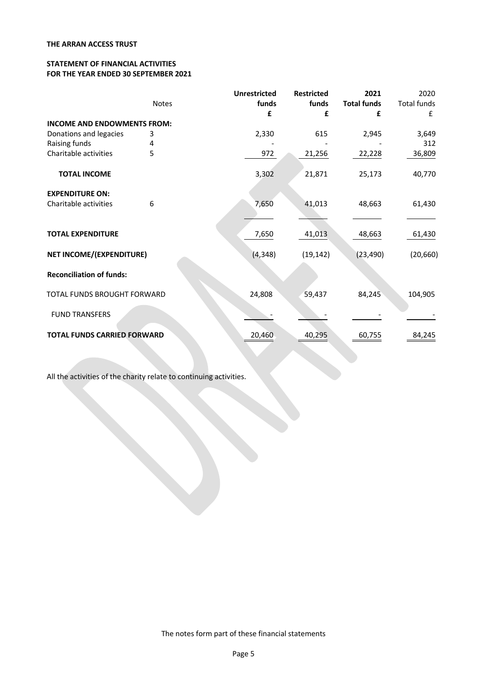### **STATEMENT OF FINANCIAL ACTIVITIES FOR THE YEAR ENDED 30 SEPTEMBER 2021**

|                                    |       | <b>Unrestricted</b> | <b>Restricted</b> | 2021               | 2020               |
|------------------------------------|-------|---------------------|-------------------|--------------------|--------------------|
|                                    | Notes | funds               | funds             | <b>Total funds</b> | <b>Total funds</b> |
|                                    |       | £                   | £                 | £                  | f                  |
| <b>INCOME AND ENDOWMENTS FROM:</b> |       |                     |                   |                    |                    |
| Donations and legacies             | 3     | 2,330               | 615               | 2,945              | 3,649              |
| Raising funds                      | 4     |                     |                   |                    | 312                |
| Charitable activities              | 5     | 972                 | 21,256            | 22,228             | 36,809             |
| <b>TOTAL INCOME</b>                |       | 3,302               | 21,871            | 25,173             | 40,770             |
| <b>EXPENDITURE ON:</b>             |       |                     |                   |                    |                    |
| Charitable activities              | 6     | 7,650               | 41,013            | 48,663             | 61,430             |
|                                    |       |                     |                   |                    |                    |
| <b>TOTAL EXPENDITURE</b>           |       | 7,650               | 41,013            | 48,663             | 61,430             |
| NET INCOME/(EXPENDITURE)           |       | (4, 348)            | (19, 142)         | (23, 490)          | (20, 660)          |
| <b>Reconciliation of funds:</b>    |       |                     |                   |                    |                    |
| TOTAL FUNDS BROUGHT FORWARD        |       | 24,808              | 59,437            | 84,245             | 104,905            |
| <b>FUND TRANSFERS</b>              |       |                     |                   |                    |                    |
| <b>TOTAL FUNDS CARRIED FORWARD</b> |       | 20,460              | 40,295            | 60,755             | 84,245             |

All the activities of the charity relate to continuing activities.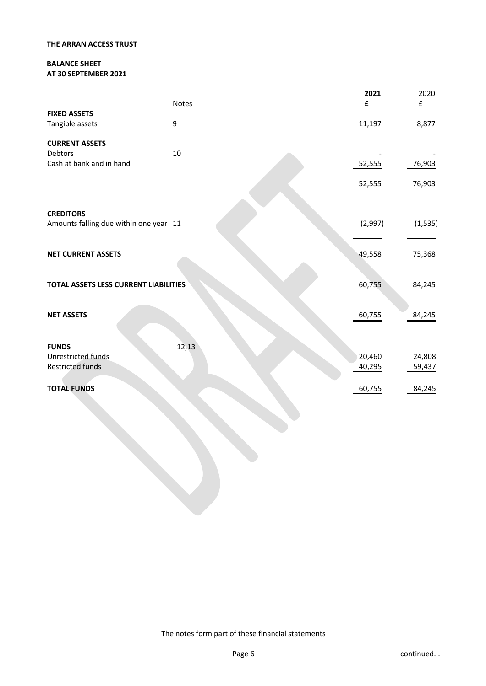### **BALANCE SHEET AT 30 SEPTEMBER 2021**

|                                                            | <b>Notes</b> | 2021<br>£        | 2020<br>£        |
|------------------------------------------------------------|--------------|------------------|------------------|
| <b>FIXED ASSETS</b><br>Tangible assets                     | 9            | 11,197           | 8,877            |
| <b>CURRENT ASSETS</b><br>Debtors                           | $10\,$       |                  |                  |
| Cash at bank and in hand                                   |              | 52,555           | 76,903           |
|                                                            |              | 52,555           | 76,903           |
|                                                            |              |                  |                  |
| <b>CREDITORS</b><br>Amounts falling due within one year 11 |              | (2,997)          | (1, 535)         |
| <b>NET CURRENT ASSETS</b>                                  |              | 49,558           | 75,368           |
| TOTAL ASSETS LESS CURRENT LIABILITIES                      |              | 60,755           | 84,245           |
| <b>NET ASSETS</b>                                          |              | 60,755           | 84,245           |
| <b>FUNDS</b>                                               | 12,13        |                  |                  |
| Unrestricted funds<br><b>Restricted funds</b>              |              | 20,460<br>40,295 | 24,808<br>59,437 |
| <b>TOTAL FUNDS</b>                                         |              | 60,755           | 84,245           |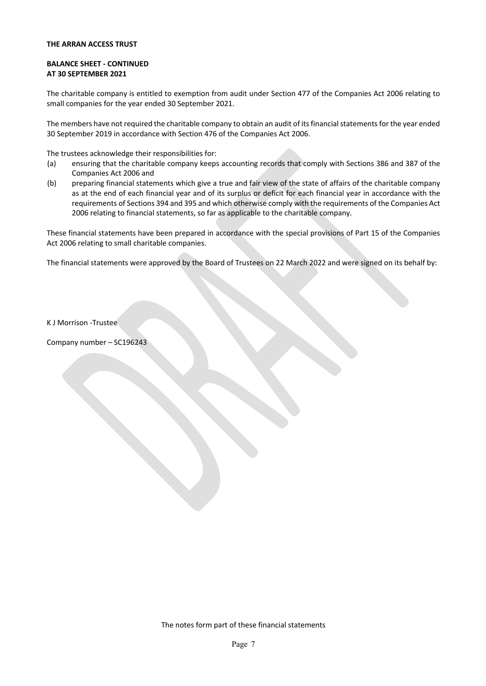### **BALANCE SHEET - CONTINUED AT 30 SEPTEMBER 2021**

The charitable company is entitled to exemption from audit under Section 477 of the Companies Act 2006 relating to small companies for the year ended 30 September 2021.

The members have not required the charitable company to obtain an audit of its financial statements for the year ended 30 September 2019 in accordance with Section 476 of the Companies Act 2006.

The trustees acknowledge their responsibilities for:

- (a) ensuring that the charitable company keeps accounting records that comply with Sections 386 and 387 of the Companies Act 2006 and
- (b) preparing financial statements which give a true and fair view of the state of affairs of the charitable company as at the end of each financial year and of its surplus or deficit for each financial year in accordance with the requirements of Sections 394 and 395 and which otherwise comply with the requirements of the Companies Act 2006 relating to financial statements, so far as applicable to the charitable company.

These financial statements have been prepared in accordance with the special provisions of Part 15 of the Companies Act 2006 relating to small charitable companies.

The financial statements were approved by the Board of Trustees on 22 March 2022 and were signed on its behalf by:

K J Morrison -Trustee

Company number – SC196243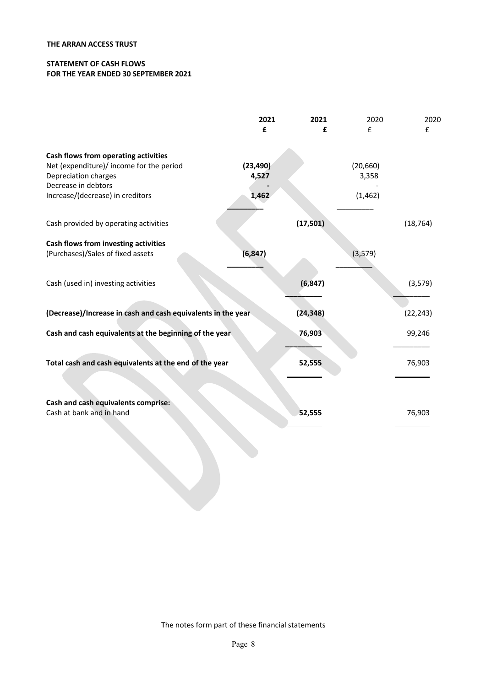### **STATEMENT OF CASH FLOWS FOR THE YEAR ENDED 30 SEPTEMBER 2021**

|                                                                                                                                                                     | 2021<br>£                   | 2021<br>£ | 2020<br>$\mathbf{f}$           | 2020<br>£ |
|---------------------------------------------------------------------------------------------------------------------------------------------------------------------|-----------------------------|-----------|--------------------------------|-----------|
| Cash flows from operating activities<br>Net (expenditure)/ income for the period<br>Depreciation charges<br>Decrease in debtors<br>Increase/(decrease) in creditors | (23, 490)<br>4,527<br>1,462 |           | (20, 660)<br>3,358<br>(1, 462) |           |
| Cash provided by operating activities                                                                                                                               |                             | (17,501)  |                                | (18, 764) |
| Cash flows from investing activities<br>(Purchases)/Sales of fixed assets                                                                                           | (6, 847)                    |           | (3,579)                        |           |
| Cash (used in) investing activities                                                                                                                                 |                             | (6, 847)  |                                | (3, 579)  |
| (Decrease)/Increase in cash and cash equivalents in the year                                                                                                        |                             | (24, 348) |                                | (22, 243) |
| Cash and cash equivalents at the beginning of the year                                                                                                              |                             | 76,903    |                                | 99,246    |
| Total cash and cash equivalents at the end of the year                                                                                                              |                             | 52,555    |                                | 76,903    |
| Cash and cash equivalents comprise:<br>Cash at bank and in hand                                                                                                     |                             | 52,555    |                                | 76,903    |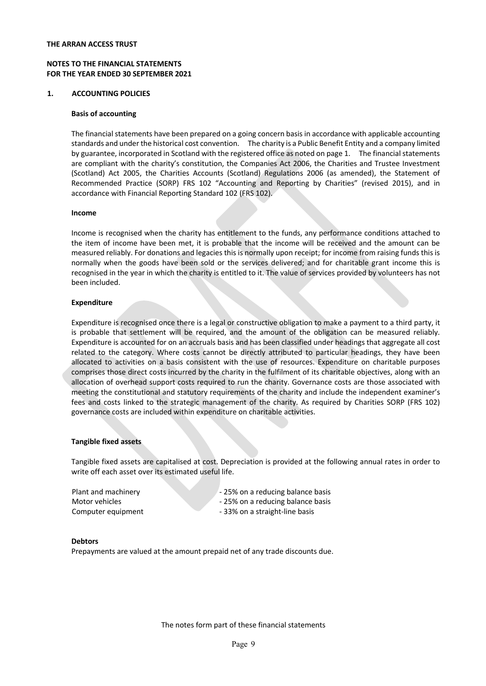### **NOTES TO THE FINANCIAL STATEMENTS FOR THE YEAR ENDED 30 SEPTEMBER 2021**

#### **1. ACCOUNTING POLICIES**

#### **Basis of accounting**

The financial statements have been prepared on a going concern basis in accordance with applicable accounting standards and under the historical cost convention. The charity is a Public Benefit Entity and a company limited by guarantee, incorporated in Scotland with the registered office as noted on page 1. The financial statements are compliant with the charity's constitution, the Companies Act 2006, the Charities and Trustee Investment (Scotland) Act 2005, the Charities Accounts (Scotland) Regulations 2006 (as amended), the Statement of Recommended Practice (SORP) FRS 102 "Accounting and Reporting by Charities" (revised 2015), and in accordance with Financial Reporting Standard 102 (FRS 102).

#### **Income**

Income is recognised when the charity has entitlement to the funds, any performance conditions attached to the item of income have been met, it is probable that the income will be received and the amount can be measured reliably. For donations and legacies this is normally upon receipt; for income from raising funds this is normally when the goods have been sold or the services delivered; and for charitable grant income this is recognised in the year in which the charity is entitled to it. The value of services provided by volunteers has not been included.

#### **Expenditure**

Expenditure is recognised once there is a legal or constructive obligation to make a payment to a third party, it is probable that settlement will be required, and the amount of the obligation can be measured reliably. Expenditure is accounted for on an accruals basis and has been classified under headings that aggregate all cost related to the category. Where costs cannot be directly attributed to particular headings, they have been allocated to activities on a basis consistent with the use of resources. Expenditure on charitable purposes comprises those direct costs incurred by the charity in the fulfilment of its charitable objectives, along with an allocation of overhead support costs required to run the charity. Governance costs are those associated with meeting the constitutional and statutory requirements of the charity and include the independent examiner's fees and costs linked to the strategic management of the charity. As required by Charities SORP (FRS 102) governance costs are included within expenditure on charitable activities.

#### **Tangible fixed assets**

Tangible fixed assets are capitalised at cost. Depreciation is provided at the following annual rates in order to write off each asset over its estimated useful life.

Motor vehicles - 25% on a reducing balance basis Computer equipment - 33% on a straight-line basis

Plant and machinery **Example 25%** on a reducing balance basis

#### **Debtors**

Prepayments are valued at the amount prepaid net of any trade discounts due.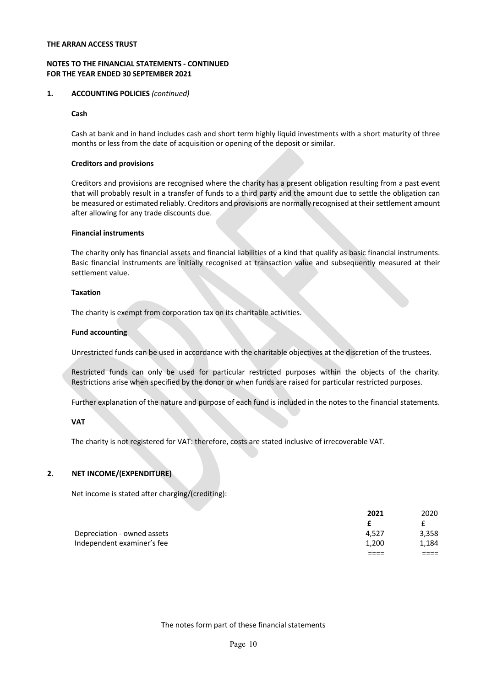### **NOTES TO THE FINANCIAL STATEMENTS - CONTINUED FOR THE YEAR ENDED 30 SEPTEMBER 2021**

### **1. ACCOUNTING POLICIES** *(continued)*

### **Cash**

Cash at bank and in hand includes cash and short term highly liquid investments with a short maturity of three months or less from the date of acquisition or opening of the deposit or similar.

### **Creditors and provisions**

Creditors and provisions are recognised where the charity has a present obligation resulting from a past event that will probably result in a transfer of funds to a third party and the amount due to settle the obligation can be measured or estimated reliably. Creditors and provisions are normally recognised at their settlement amount after allowing for any trade discounts due.

### **Financial instruments**

The charity only has financial assets and financial liabilities of a kind that qualify as basic financial instruments. Basic financial instruments are initially recognised at transaction value and subsequently measured at their settlement value.

### **Taxation**

The charity is exempt from corporation tax on its charitable activities.

### **Fund accounting**

Unrestricted funds can be used in accordance with the charitable objectives at the discretion of the trustees.

Restricted funds can only be used for particular restricted purposes within the objects of the charity. Restrictions arise when specified by the donor or when funds are raised for particular restricted purposes.

Further explanation of the nature and purpose of each fund is included in the notes to the financial statements.

### **VAT**

The charity is not registered for VAT: therefore, costs are stated inclusive of irrecoverable VAT.

### **2. NET INCOME/(EXPENDITURE)**

Net income is stated after charging/(crediting):

|                             | 2021  | 2020  |
|-----------------------------|-------|-------|
|                             |       |       |
| Depreciation - owned assets | 4.527 | 3,358 |
| Independent examiner's fee  | 1.200 | 1.184 |
|                             |       |       |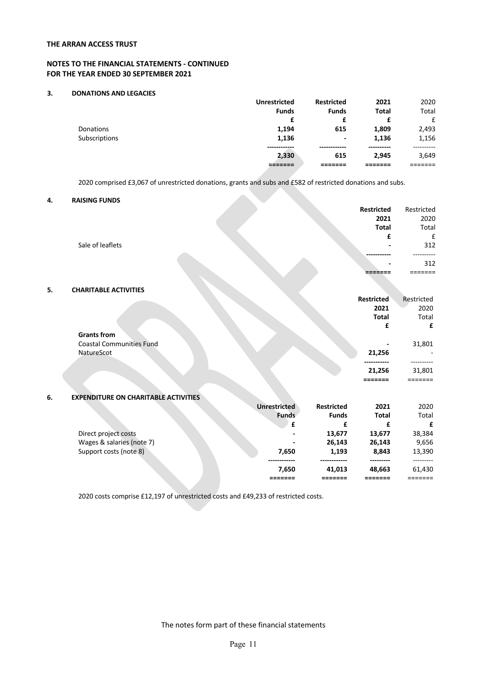### **NOTES TO THE FINANCIAL STATEMENTS - CONTINUED FOR THE YEAR ENDED 30 SEPTEMBER 2021**

#### **3. DONATIONS AND LEGACIES**

|               | <b>Unrestricted</b> | <b>Restricted</b> | 2021         | 2020  |
|---------------|---------------------|-------------------|--------------|-------|
|               | <b>Funds</b>        | <b>Funds</b>      | <b>Total</b> | Total |
|               | £                   | £                 | £            | £     |
| Donations     | 1,194               | 615               | 1,809        | 2,493 |
| Subscriptions | 1,136               | ٠                 | 1,136        | 1,156 |
|               |                     |                   |              |       |
|               | 2,330               | 615               | 2.945        | 3,649 |
|               |                     |                   |              |       |

2020 comprised £3,067 of unrestricted donations, grants and subs and £582 of restricted donations and subs.

### **4. RAISING FUNDS**

|    |                                             |                     |              | Restricted        | Restricted |
|----|---------------------------------------------|---------------------|--------------|-------------------|------------|
|    |                                             |                     |              | 2021              | 2020       |
|    |                                             |                     |              | <b>Total</b>      | Total      |
|    |                                             |                     |              | £                 | £          |
|    | Sale of leaflets                            |                     |              |                   | 312        |
|    |                                             |                     |              |                   |            |
|    |                                             |                     |              |                   | 312        |
|    |                                             |                     |              |                   | ====       |
| 5. | <b>CHARITABLE ACTIVITIES</b>                |                     |              |                   |            |
|    |                                             |                     |              | <b>Restricted</b> | Restricted |
|    |                                             |                     |              | 2021              | 2020       |
|    |                                             |                     |              | <b>Total</b>      | Total      |
|    |                                             |                     |              | £                 | £          |
|    | <b>Grants from</b>                          |                     |              |                   |            |
|    | <b>Coastal Communities Fund</b>             |                     |              |                   | 31,801     |
|    | NatureScot                                  |                     |              | 21,256            |            |
|    |                                             |                     |              |                   |            |
|    |                                             |                     |              | 21,256            | 31,801     |
|    |                                             |                     |              | =======           | =======    |
| 6. | <b>EXPENDITURE ON CHARITABLE ACTIVITIES</b> |                     |              |                   |            |
|    |                                             | <b>Unrestricted</b> | Restricted   | 2021              | 2020       |
|    |                                             | <b>Funds</b>        | <b>Funds</b> | <b>Total</b>      | Total      |
|    |                                             | £                   | £            | £                 | £          |
|    | Direct project costs                        |                     | 13,677       | 13,677            | 38,384     |
|    | Wages & salaries (note 7)                   |                     | 26,143       | 26,143            | 9,656      |
|    | Support costs (note 8)                      | 7,650               | 1,193        | 8,843             | 13,390     |
|    |                                             | 7,650               | 41,013       | 48,663            | 61,430     |
|    |                                             |                     | =======      |                   | =======    |

2020 costs comprise £12,197 of unrestricted costs and £49,233 of restricted costs.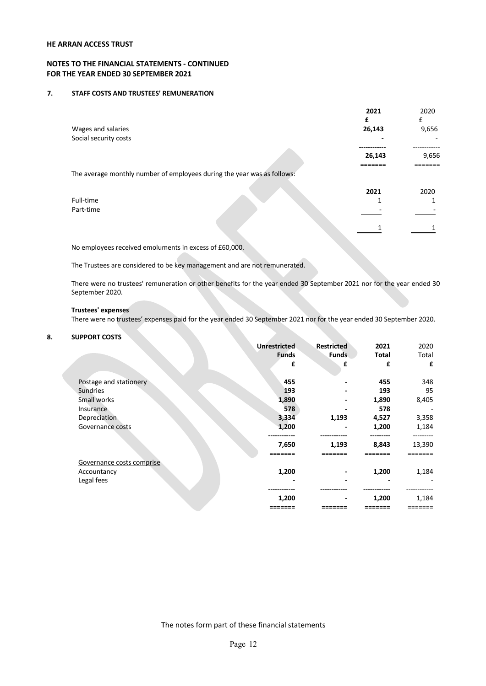### **NOTES TO THE FINANCIAL STATEMENTS - CONTINUED FOR THE YEAR ENDED 30 SEPTEMBER 2021**

#### **7. STAFF COSTS AND TRUSTEES' REMUNERATION**

|                                                                         | 2021<br>£ | 2020<br>£ |
|-------------------------------------------------------------------------|-----------|-----------|
| Wages and salaries                                                      | 26,143    | 9,656     |
| Social security costs                                                   |           |           |
|                                                                         | 26,143    | 9,656     |
| The average monthly number of employees during the year was as follows: |           |           |
|                                                                         | 2021      | 2020      |
| Full-time                                                               |           |           |
| Part-time                                                               |           |           |
|                                                                         |           |           |

No employees received emoluments in excess of £60,000.

The Trustees are considered to be key management and are not remunerated.

There were no trustees' remuneration or other benefits for the year ended 30 September 2021 nor for the year ended 30 September 2020.

#### **Trustees' expenses**

There were no trustees' expenses paid for the year ended 30 September 2021 nor for the year ended 30 September 2020.

### **8. SUPPORT COSTS**

|                           | <b>Unrestricted</b> | Restricted   | 2021         | 2020   |
|---------------------------|---------------------|--------------|--------------|--------|
|                           | <b>Funds</b>        | <b>Funds</b> | <b>Total</b> | Total  |
|                           | £                   | £            | £            | £      |
| Postage and stationery    | 455                 |              | 455          | 348    |
| <b>Sundries</b>           | 193                 |              | 193          | 95     |
| Small works               | 1,890               |              | 1,890        | 8,405  |
| Insurance                 | 578                 |              | 578          | -      |
| Depreciation              | 3,334               | 1,193        | 4,527        | 3,358  |
| Governance costs          | 1,200               |              | 1,200        | 1,184  |
|                           | 7,650               | 1,193        | 8,843        | 13,390 |
|                           |                     |              |              |        |
| Governance costs comprise |                     |              |              |        |
| Accountancy               | 1,200               |              | 1,200        | 1,184  |
| Legal fees                |                     |              |              |        |
|                           | 1,200               |              | 1,200        | 1,184  |
|                           |                     |              |              |        |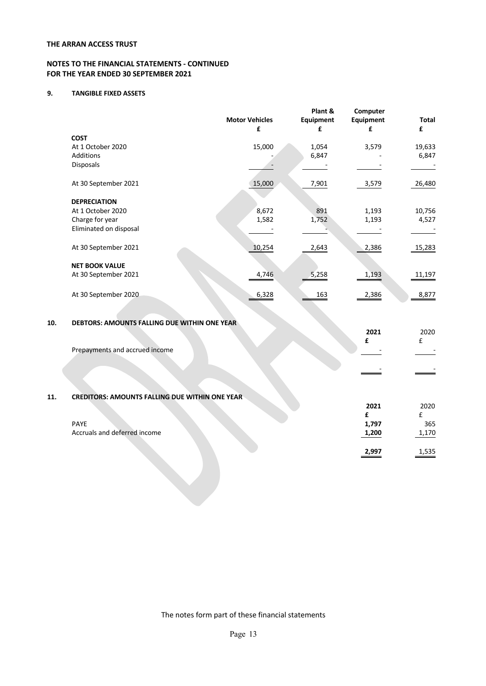### **NOTES TO THE FINANCIAL STATEMENTS - CONTINUED FOR THE YEAR ENDED 30 SEPTEMBER 2021**

### **9. TANGIBLE FIXED ASSETS**

|     |                                              | <b>Motor Vehicles</b><br>£ | Plant &<br>Equipment<br>£ | Computer<br>Equipment<br>£ | <b>Total</b><br>£ |
|-----|----------------------------------------------|----------------------------|---------------------------|----------------------------|-------------------|
|     | <b>COST</b>                                  |                            |                           |                            |                   |
|     | At 1 October 2020                            | 15,000                     | 1,054                     | 3,579                      | 19,633            |
|     | <b>Additions</b>                             |                            | 6,847                     |                            | 6,847             |
|     | Disposals                                    |                            |                           |                            |                   |
|     | At 30 September 2021                         | 15,000                     | 7,901                     | 3,579                      | 26,480            |
|     | <b>DEPRECIATION</b>                          |                            |                           |                            |                   |
|     | At 1 October 2020                            | 8,672                      | 891                       | 1,193                      | 10,756            |
|     | Charge for year                              | 1,582                      | 1,752                     | 1,193                      | 4,527             |
|     | Eliminated on disposal                       |                            |                           |                            |                   |
|     | At 30 September 2021                         | 10,254                     | 2,643                     | 2,386                      | 15,283            |
|     | <b>NET BOOK VALUE</b>                        |                            |                           |                            |                   |
|     | At 30 September 2021                         | 4,746                      | 5,258                     | 1,193                      | 11,197            |
|     | At 30 September 2020                         | 6,328                      | 163                       | 2,386                      | 8,877             |
| 10. | DEBTORS: AMOUNTS FALLING DUE WITHIN ONE YEAR |                            |                           |                            |                   |
|     |                                              |                            |                           | 2021                       | 2020              |
|     | Prepayments and accrued income               |                            |                           | £                          | £                 |
|     |                                              |                            |                           |                            |                   |
|     |                                              |                            |                           |                            |                   |
|     |                                              |                            |                           |                            |                   |

# **11. CREDITORS: AMOUNTS FALLING DUE WITHIN ONE YEAR**

|                              | 2021  | 2020  |
|------------------------------|-------|-------|
|                              |       |       |
| PAYE                         | 1,797 | 365   |
| Accruals and deferred income | 1,200 | 1,170 |
|                              |       |       |
|                              | 2,997 | 1,535 |